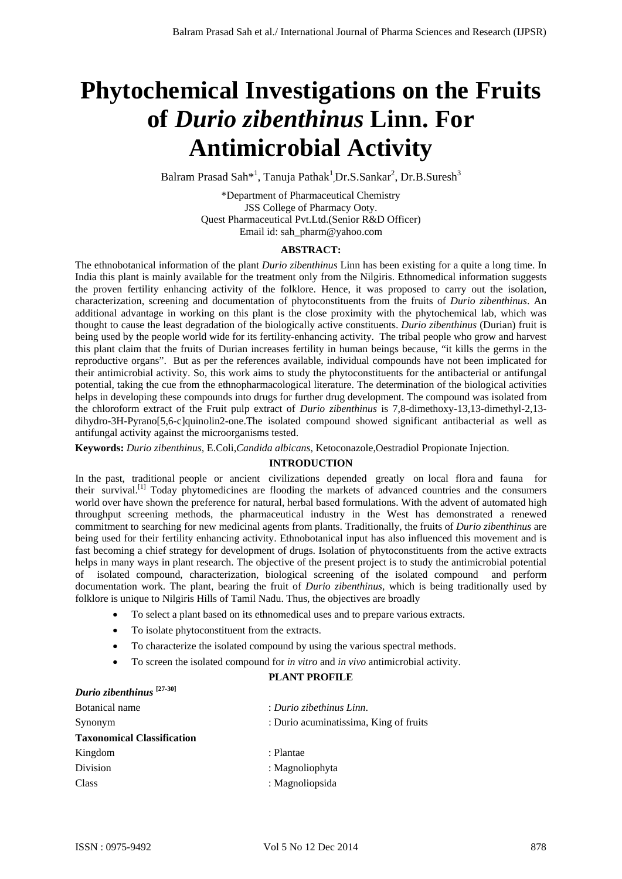# **Phytochemical Investigations on the Fruits of** *Durio zibenthinus* **Linn. For Antimicrobial Activity**

Balram Prasad Sah<sup>\*1</sup>, Tanuja Pathak<sup>1</sup>,Dr.S.Sankar<sup>2</sup>, Dr.B.Suresh<sup>3</sup>

\*Department of Pharmaceutical Chemistry JSS College of Pharmacy Ooty. Quest Pharmaceutical Pvt.Ltd.(Senior R&D Officer) Email id: sah\_pharm@yahoo.com

# **ABSTRACT:**

The ethnobotanical information of the plant *Durio zibenthinus* Linn has been existing for a quite a long time. In India this plant is mainly available for the treatment only from the Nilgiris. Ethnomedical information suggests the proven fertility enhancing activity of the folklore. Hence, it was proposed to carry out the isolation, characterization, screening and documentation of phytoconstituents from the fruits of *Durio zibenthinus*. An additional advantage in working on this plant is the close proximity with the phytochemical lab, which was thought to cause the least degradation of the biologically active constituents. *Durio zibenthinus* (Durian) fruit is being used by the people world wide for its fertility-enhancing activity. The tribal people who grow and harvest this plant claim that the fruits of Durian increases fertility in human beings because, "it kills the germs in the reproductive organs". But as per the references available, individual compounds have not been implicated for their antimicrobial activity. So, this work aims to study the phytoconstituents for the antibacterial or antifungal potential, taking the cue from the ethnopharmacological literature. The determination of the biological activities helps in developing these compounds into drugs for further drug development. The compound was isolated from the chloroform extract of the Fruit pulp extract of *Durio zibenthinus* is 7,8-dimethoxy-13,13-dimethyl-2,13 dihydro-3H-Pyrano[5,6-c]quinolin2-one.The isolated compound showed significant antibacterial as well as antifungal activity against the microorganisms tested. Balram Prasad Sah et al./ International Journal of Pharma Sciences and Research (IJPSR) **Charma Control of Case Control of Case Control of Case Control of Case Control of Case Control of Case Control of Case Control of Ca** 

**Keywords:** *Durio zibenthinus,* E.Coli,*Candida albicans*, Ketoconazole,Oestradiol Propionate Injection.

# **INTRODUCTION**

In the past, traditional people or ancient civilizations depended greatly on local flora and fauna for their survival.[1] Today phytomedicines are flooding the markets of advanced countries and the consumers world over have shown the preference for natural, herbal based formulations. With the advent of automated high throughput screening methods, the pharmaceutical industry in the West has demonstrated a renewed commitment to searching for new medicinal agents from plants. Traditionally, the fruits of *Durio zibenthinus* are being used for their fertility enhancing activity. Ethnobotanical input has also influenced this movement and is fast becoming a chief strategy for development of drugs. Isolation of phytoconstituents from the active extracts helps in many ways in plant research. The objective of the present project is to study the antimicrobial potential of isolated compound, characterization, biological screening of the isolated compound and perform documentation work. The plant, bearing the fruit of *Durio zibenthinus,* which is being traditionally used by folklore is unique to Nilgiris Hills of Tamil Nadu. Thus, the objectives are broadly

- To select a plant based on its ethnomedical uses and to prepare various extracts.
- To isolate phytoconstituent from the extracts.
- To characterize the isolated compound by using the various spectral methods.
- To screen the isolated compound for *in vitro* and *in vivo* antimicrobial activity.

# **PLANT PROFILE**

| Durio zibenthinus <sup>[27-30]</sup> |                                        |
|--------------------------------------|----------------------------------------|
| Botanical name                       | : Durio zibethinus Linn.               |
| Synonym                              | : Durio acuminatissima, King of fruits |
| <b>Taxonomical Classification</b>    |                                        |
| Kingdom                              | : Plantae                              |
| Division                             | : Magnoliophyta                        |
| <b>Class</b>                         | : Magnoliopsida                        |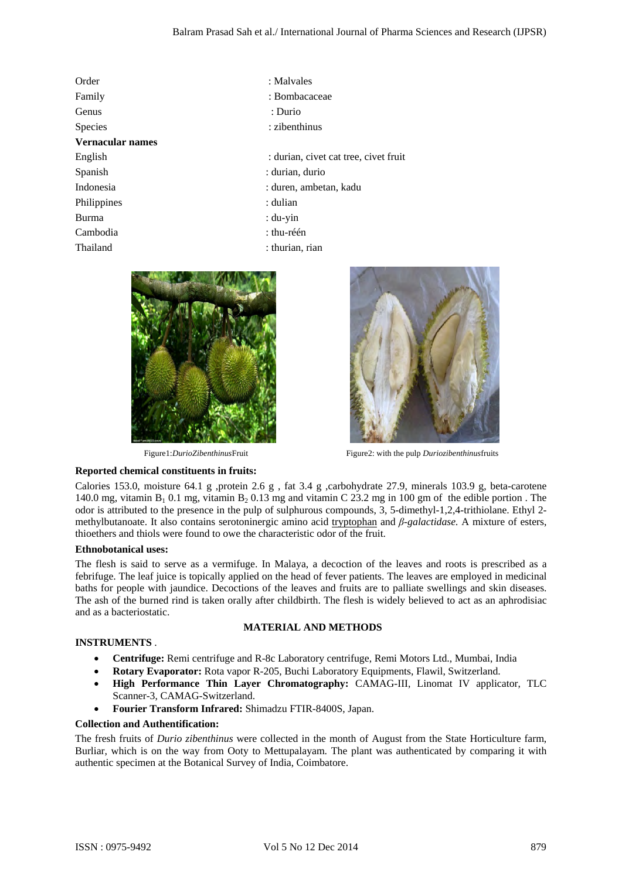|                                                                                                              |                                                         | Balram Prasad Sah et al./ International Journal of Pharma Sciences and Research (IJPSR)                                                                                                                                                                                                                                                                                                                                                                                                                                                                                                                                                                                                                                                                                                                                                    |     |
|--------------------------------------------------------------------------------------------------------------|---------------------------------------------------------|--------------------------------------------------------------------------------------------------------------------------------------------------------------------------------------------------------------------------------------------------------------------------------------------------------------------------------------------------------------------------------------------------------------------------------------------------------------------------------------------------------------------------------------------------------------------------------------------------------------------------------------------------------------------------------------------------------------------------------------------------------------------------------------------------------------------------------------------|-----|
| Order                                                                                                        | : Malvales                                              |                                                                                                                                                                                                                                                                                                                                                                                                                                                                                                                                                                                                                                                                                                                                                                                                                                            |     |
| Family                                                                                                       | : Bombacaceae                                           |                                                                                                                                                                                                                                                                                                                                                                                                                                                                                                                                                                                                                                                                                                                                                                                                                                            |     |
| Genus                                                                                                        | : Durio                                                 |                                                                                                                                                                                                                                                                                                                                                                                                                                                                                                                                                                                                                                                                                                                                                                                                                                            |     |
| Species                                                                                                      | : zibenthinus                                           |                                                                                                                                                                                                                                                                                                                                                                                                                                                                                                                                                                                                                                                                                                                                                                                                                                            |     |
| Vernacular names                                                                                             |                                                         |                                                                                                                                                                                                                                                                                                                                                                                                                                                                                                                                                                                                                                                                                                                                                                                                                                            |     |
| English                                                                                                      |                                                         | : durian, civet cat tree, civet fruit                                                                                                                                                                                                                                                                                                                                                                                                                                                                                                                                                                                                                                                                                                                                                                                                      |     |
| Spanish                                                                                                      | : durian, durio                                         |                                                                                                                                                                                                                                                                                                                                                                                                                                                                                                                                                                                                                                                                                                                                                                                                                                            |     |
| Indonesia                                                                                                    | : duren, ambetan, kadu                                  |                                                                                                                                                                                                                                                                                                                                                                                                                                                                                                                                                                                                                                                                                                                                                                                                                                            |     |
| Philippines                                                                                                  | : dulian                                                |                                                                                                                                                                                                                                                                                                                                                                                                                                                                                                                                                                                                                                                                                                                                                                                                                                            |     |
| <b>Burma</b>                                                                                                 | $: du$ -yin                                             |                                                                                                                                                                                                                                                                                                                                                                                                                                                                                                                                                                                                                                                                                                                                                                                                                                            |     |
| Cambodia                                                                                                     | : thu-réén                                              |                                                                                                                                                                                                                                                                                                                                                                                                                                                                                                                                                                                                                                                                                                                                                                                                                                            |     |
| Thailand                                                                                                     | : thurian, rian                                         |                                                                                                                                                                                                                                                                                                                                                                                                                                                                                                                                                                                                                                                                                                                                                                                                                                            |     |
|                                                                                                              |                                                         |                                                                                                                                                                                                                                                                                                                                                                                                                                                                                                                                                                                                                                                                                                                                                                                                                                            |     |
| Figure1:DurioZibenthinusFruit                                                                                |                                                         | Figure2: with the pulp Duriozibenthinusfruits                                                                                                                                                                                                                                                                                                                                                                                                                                                                                                                                                                                                                                                                                                                                                                                              |     |
| Reported chemical constituents in fruits:                                                                    |                                                         |                                                                                                                                                                                                                                                                                                                                                                                                                                                                                                                                                                                                                                                                                                                                                                                                                                            |     |
| thioethers and thiols were found to owe the characteristic odor of the fruit.<br><b>Ethnobotanical uses:</b> |                                                         | Calories 153.0, moisture 64.1 g ,protein 2.6 g , fat 3.4 g ,carbohydrate 27.9, minerals 103.9 g, beta-carotene<br>140.0 mg, vitamin $B_1$ 0.1 mg, vitamin $B_2$ 0.13 mg and vitamin C 23.2 mg in 100 gm of the edible portion. The<br>odor is attributed to the presence in the pulp of sulphurous compounds, 3, 5-dimethyl-1,2,4-trithiolane. Ethyl 2-<br>methylbutanoate. It also contains serotoninergic amino acid tryptophan and $\beta$ -galactidase. A mixture of esters,<br>The flesh is said to serve as a vermifuge. In Malaya, a decoction of the leaves and roots is prescribed as a<br>febrifuge. The leaf juice is topically applied on the head of fever patients. The leaves are employed in medicinal<br>baths for people with jaundice. Decoctions of the leaves and fruits are to palliate swellings and skin diseases. |     |
|                                                                                                              |                                                         | The ash of the burned rind is taken orally after childbirth. The flesh is widely believed to act as an aphrodisiac                                                                                                                                                                                                                                                                                                                                                                                                                                                                                                                                                                                                                                                                                                                         |     |
| and as a bacteriostatic.                                                                                     | <b>MATERIAL AND METHODS</b>                             |                                                                                                                                                                                                                                                                                                                                                                                                                                                                                                                                                                                                                                                                                                                                                                                                                                            |     |
| <b>INSTRUMENTS.</b>                                                                                          |                                                         |                                                                                                                                                                                                                                                                                                                                                                                                                                                                                                                                                                                                                                                                                                                                                                                                                                            |     |
| ٠<br>$\bullet$<br>$\bullet$<br>Scanner-3, CAMAG-Switzerland.<br>$\bullet$                                    | Fourier Transform Infrared: Shimadzu FTIR-8400S, Japan. | Centrifuge: Remi centrifuge and R-8c Laboratory centrifuge, Remi Motors Ltd., Mumbai, India<br>Rotary Evaporator: Rota vapor R-205, Buchi Laboratory Equipments, Flawil, Switzerland.<br>High Performance Thin Layer Chromatography: CAMAG-III, Linomat IV applicator, TLC                                                                                                                                                                                                                                                                                                                                                                                                                                                                                                                                                                 |     |
| <b>Collection and Authentification:</b>                                                                      |                                                         |                                                                                                                                                                                                                                                                                                                                                                                                                                                                                                                                                                                                                                                                                                                                                                                                                                            |     |
| authentic specimen at the Botanical Survey of India, Coimbatore.                                             |                                                         | The fresh fruits of <i>Durio zibenthinus</i> were collected in the month of August from the State Horticulture farm,<br>Burliar, which is on the way from Ooty to Mettupalayam. The plant was authenticated by comparing it with                                                                                                                                                                                                                                                                                                                                                                                                                                                                                                                                                                                                           |     |
|                                                                                                              |                                                         |                                                                                                                                                                                                                                                                                                                                                                                                                                                                                                                                                                                                                                                                                                                                                                                                                                            |     |
| ISSN: 0975-9492                                                                                              | Vol 5 No 12 Dec 2014                                    |                                                                                                                                                                                                                                                                                                                                                                                                                                                                                                                                                                                                                                                                                                                                                                                                                                            | 879 |





Figure1:*DurioZibenthinus*FruitFigure2: with the pulp *Duriozibenthinus*fruits

# **Reported chemical constituents in fruits:**

# **Ethnobotanical uses:**

# **MATERIAL AND METHODS**

# **INSTRUMENTS** .

- **Centrifuge:** Remi centrifuge and R-8c Laboratory centrifuge, Remi Motors Ltd., Mumbai, India
- **Rotary Evaporator:** Rota vapor R-205, Buchi Laboratory Equipments, Flawil, Switzerland.
- **High Performance Thin Layer Chromatography:** CAMAG-III, Linomat IV applicator, TLC Scanner-3, CAMAG-Switzerland.
- **Fourier Transform Infrared:** Shimadzu FTIR-8400S, Japan.

# **Collection and Authentification:**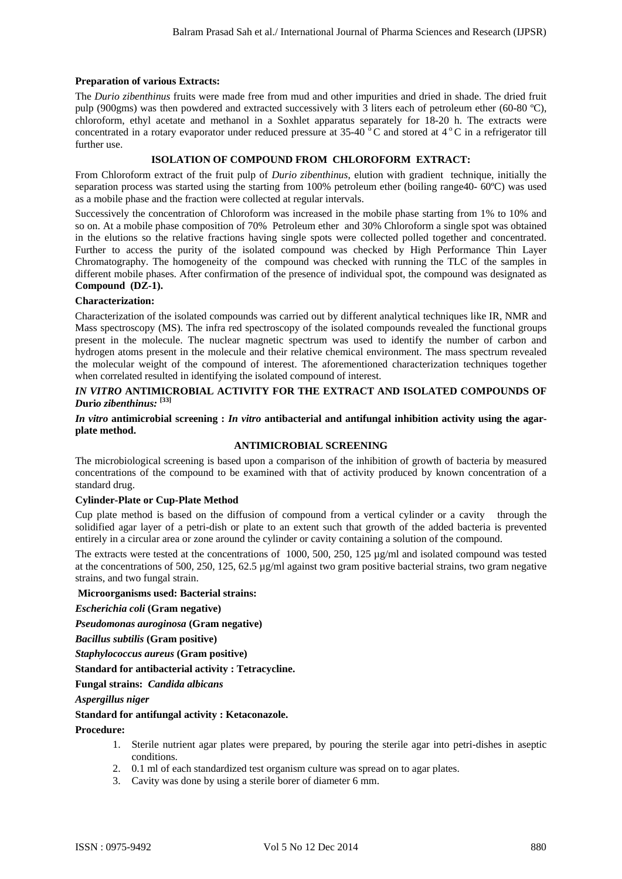# **Preparation of various Extracts:**

The *Durio zibenthinus* fruits were made free from mud and other impurities and dried in shade. The dried fruit pulp (900gms) was then powdered and extracted successively with 3 liters each of petroleum ether (60-80 ºC), chloroform, ethyl acetate and methanol in a Soxhlet apparatus separately for 18-20 h. The extracts were concentrated in a rotary evaporator under reduced pressure at  $35{\text -}40^{\degree}$ C and stored at  $4^{\degree}$ C in a refrigerator till further use.

# **ISOLATION OF COMPOUND FROM CHLOROFORM EXTRACT:**

From Chloroform extract of the fruit pulp of *Durio zibenthinus*, elution with gradient technique, initially the separation process was started using the starting from 100% petroleum ether (boiling range40- 60°C) was used as a mobile phase and the fraction were collected at regular intervals.

Successively the concentration of Chloroform was increased in the mobile phase starting from 1% to 10% and so on. At a mobile phase composition of 70% Petroleum ether and 30% Chloroform a single spot was obtained in the elutions so the relative fractions having single spots were collected polled together and concentrated. Further to access the purity of the isolated compound was checked by High Performance Thin Layer Chromatography. The homogeneity of the compound was checked with running the TLC of the samples in different mobile phases. After confirmation of the presence of individual spot, the compound was designated as **Compound (DZ-1).**  Baltam Pressi Sah et al./ International Journal of Pharma Sciences and Research (IJPSR)<br>
Representation Antonio Maria Consideration and Sciences and Research (ISBN 0-1000), 2000, 2000, 2000, 2000, 2000, 2000, 2000, 2000,

# **Characterization:**

Characterization of the isolated compounds was carried out by different analytical techniques like IR, NMR and Mass spectroscopy (MS). The infra red spectroscopy of the isolated compounds revealed the functional groups present in the molecule. The nuclear magnetic spectrum was used to identify the number of carbon and hydrogen atoms present in the molecule and their relative chemical environment. The mass spectrum revealed the molecular weight of the compound of interest. The aforementioned characterization techniques together when correlated resulted in identifying the isolated compound of interest.

# *IN VITRO* **ANTIMICROBIAL ACTIVITY FOR THE EXTRACT AND ISOLATED COMPOUNDS OF**  *D***uri***o zibenthinus:* **[33]**

# *In vitro* **antimicrobial screening :** *In vitro* **antibacterial and antifungal inhibition activity using the agarplate method.**

# **ANTIMICROBIAL SCREENING**

The microbiological screening is based upon a comparison of the inhibition of growth of bacteria by measured concentrations of the compound to be examined with that of activity produced by known concentration of a standard drug.

# **Cylinder-Plate or Cup-Plate Method**

Cup plate method is based on the diffusion of compound from a vertical cylinder or a cavity through the solidified agar layer of a petri-dish or plate to an extent such that growth of the added bacteria is prevented entirely in a circular area or zone around the cylinder or cavity containing a solution of the compound.

The extracts were tested at the concentrations of 1000, 500, 250, 125 µg/ml and isolated compound was tested at the concentrations of 500, 250, 125, 62.5 µg/ml against two gram positive bacterial strains, two gram negative strains, and two fungal strain.

### **Microorganisms used: Bacterial strains:**

*Escherichia coli* **(Gram negative)** 

*Pseudomonas auroginosa* **(Gram negative)** 

*Bacillus subtilis* **(Gram positive)** 

*Staphylococcus aureus* **(Gram positive)** 

**Standard for antibacterial activity : Tetracycline.** 

**Fungal strains:** *Candida albicans*

*Aspergillus niger*

# **Standard for antifungal activity : Ketaconazole.**

### **Procedure:**

- 1. Sterile nutrient agar plates were prepared, by pouring the sterile agar into petri-dishes in aseptic conditions.
- 2. 0.1 ml of each standardized test organism culture was spread on to agar plates.
- 3. Cavity was done by using a sterile borer of diameter 6 mm.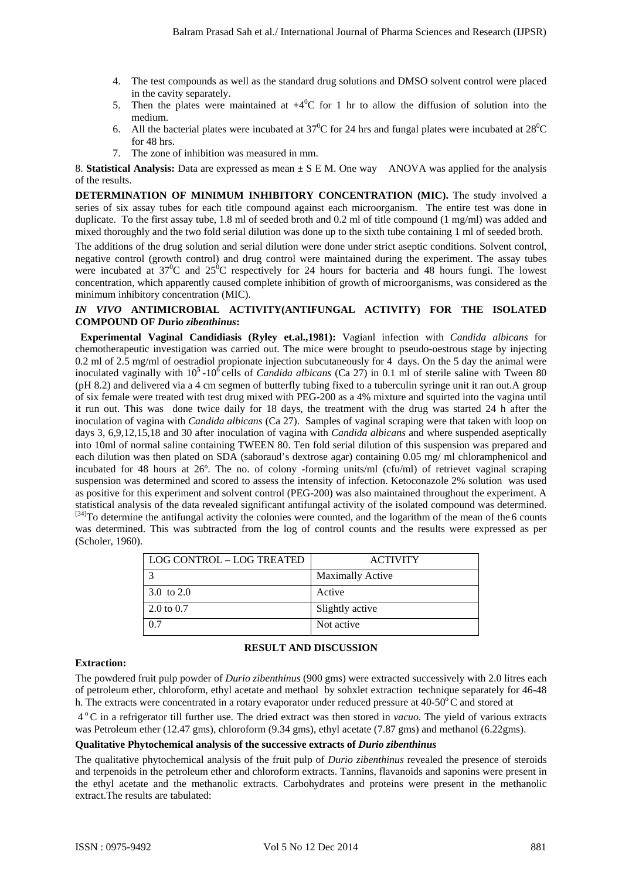- 4. The test compounds as well as the standard drug solutions and DMSO solvent control were placed in the cavity separately.
- 5. Then the plates were maintained at  $+4^0C$  for 1 hr to allow the diffusion of solution into the medium.
- 6. All the bacterial plates were incubated at  $37^0C$  for 24 hrs and fungal plates were incubated at  $28^0C$ for 48 hrs.
- 7. The zone of inhibition was measured in mm.

8. **Statistical Analysis:** Data are expressed as mean ± S E M. One way ANOVA was applied for the analysis of the results.

**DETERMINATION OF MINIMUM INHIBITORY CONCENTRATION (MIC).** The study involved a series of six assay tubes for each title compound against each microorganism. The entire test was done in duplicate. To the first assay tube, 1.8 ml of seeded broth and 0.2 ml of title compound (1 mg/ml) was added and mixed thoroughly and the two fold serial dilution was done up to the sixth tube containing 1 ml of seeded broth.

The additions of the drug solution and serial dilution were done under strict aseptic conditions. Solvent control, negative control (growth control) and drug control were maintained during the experiment. The assay tubes were incubated at 37<sup>0</sup>C and 25<sup>0</sup>C respectively for 24 hours for bacteria and 48 hours fungi. The lowest concentration, which apparently caused complete inhibition of growth of microorganisms, was considered as the minimum inhibitory concentration (MIC).

# *IN VIVO* **ANTIMICROBIAL ACTIVITY(ANTIFUNGAL ACTIVITY) FOR THE ISOLATED COMPOUND OF** *D***uri***o zibenthinus***:**

 **Experimental Vaginal Candidiasis (Ryley et.al.,1981):** Vagianl infection with *Candida albicans* for chemotherapeutic investigation was carried out. The mice were brought to pseudo-oestrous stage by injecting 0.2 ml of 2.5 mg/ml of oestradiol propionate injection subcutaneously for 4 days. On the 5 day the animal were inoculated vaginally with 10**<sup>5</sup>**-106 cells of *Candida albicans* (Ca 27) in 0.1 ml of sterile saline with Tween 80 (pH 8.2) and delivered via a 4 cm segmen of butterfly tubing fixed to a tuberculin syringe unit it ran out.A group of six female were treated with test drug mixed with PEG-200 as a 4% mixture and squirted into the vagina until it run out. This was done twice daily for 18 days, the treatment with the drug was started 24 h after the inoculation of vagina with *Candida albicans* (Ca 27). Samples of vaginal scraping were that taken with loop on days 3, 6,9,12,15,18 and 30 after inoculation of vagina with *Candida albicans* and where suspended aseptically into 10ml of normal saline containing TWEEN 80. Ten fold serial dilution of this suspension was prepared and each dilution was then plated on SDA (saboraud's dextrose agar) containing 0.05 mg/ ml chloramphenicol and incubated for 48 hours at 26º. The no. of colony -forming units/ml (cfu/ml) of retrievet vaginal scraping suspension was determined and scored to assess the intensity of infection. Ketoconazole 2% solution was used as positive for this experiment and solvent control (PEG-200) was also maintained throughout the experiment. A statistical analysis of the data revealed significant antifungal activity of the isolated compound was determined. [34]To determine the antifungal activity the colonies were counted, and the logarithm of the mean of the 6 counts was determined. This was subtracted from the log of control counts and the results were expressed as per (Scholer, 1960). Balaran Frasad Sah et al./ International Journal of Fluence Sciences and Research (IJPSR)<br>4. The case operation as well as the similar dome seismon and DMSO astevations of seismon and Research (ISBN 0-802-92020)<br>5. The ca

| LOG CONTROL – LOG TREATED | <b>ACTIVITY</b>         |
|---------------------------|-------------------------|
|                           | <b>Maximally Active</b> |
| 3.0 to 2.0                | Active                  |
| 2.0 to 0.7                | Slightly active         |
| 07                        | Not active              |

# **RESULT AND DISCUSSION**

# **Extraction:**

The powdered fruit pulp powder of *Durio zibenthinus* (900 gms) were extracted successively with 2.0 litres each of petroleum ether, chloroform, ethyl acetate and methaol by sohxlet extraction technique separately for 46-48 h. The extracts were concentrated in a rotary evaporator under reduced pressure at  $40-50^\circ$ C and stored at

 4 o C in a refrigerator till further use. The dried extract was then stored in *vacuo.* The yield of various extracts was Petroleum ether (12.47 gms), chloroform (9.34 gms), ethyl acetate (7.87 gms) and methanol (6.22gms).

# **Qualitative Phytochemical analysis of the successive extracts of** *Durio zibenthinus*

The qualitative phytochemical analysis of the fruit pulp of *Durio zibenthinus* revealed the presence of steroids and terpenoids in the petroleum ether and chloroform extracts. Tannins, flavanoids and saponins were present in the ethyl acetate and the methanolic extracts. Carbohydrates and proteins were present in the methanolic extract.The results are tabulated: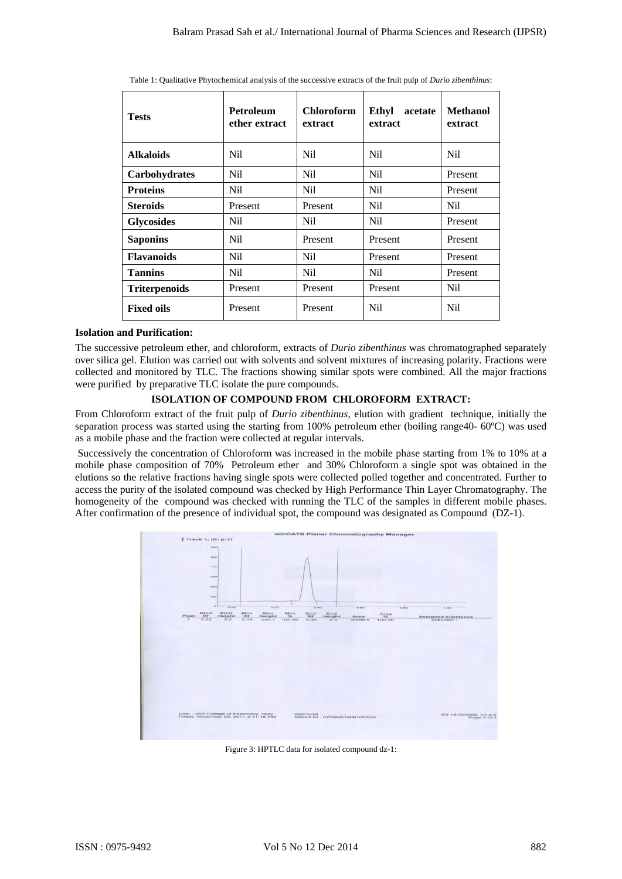|  |  |  |  | Table 1: Qualitative Phytochemical analysis of the successive extracts of the fruit pulp of Durio zibenthinus: |  |  |
|--|--|--|--|----------------------------------------------------------------------------------------------------------------|--|--|
|--|--|--|--|----------------------------------------------------------------------------------------------------------------|--|--|

| <b>Tests</b>                                                                                                                                                                                                                                                                                                                                                                                                                                                                                                                                                                                                                                                                                                                                                                                                                                                                                                                                                                                     | Petroleum<br>ether extract                                                                                                                                                                      | <b>Chloroform</b><br>extract                                                                                                                                                        | Ethyl acetate<br>extract | <b>Methanol</b><br>extract              |
|--------------------------------------------------------------------------------------------------------------------------------------------------------------------------------------------------------------------------------------------------------------------------------------------------------------------------------------------------------------------------------------------------------------------------------------------------------------------------------------------------------------------------------------------------------------------------------------------------------------------------------------------------------------------------------------------------------------------------------------------------------------------------------------------------------------------------------------------------------------------------------------------------------------------------------------------------------------------------------------------------|-------------------------------------------------------------------------------------------------------------------------------------------------------------------------------------------------|-------------------------------------------------------------------------------------------------------------------------------------------------------------------------------------|--------------------------|-----------------------------------------|
| <b>Alkaloids</b>                                                                                                                                                                                                                                                                                                                                                                                                                                                                                                                                                                                                                                                                                                                                                                                                                                                                                                                                                                                 | <b>Nil</b>                                                                                                                                                                                      | <b>Nil</b>                                                                                                                                                                          | <b>Nil</b>               | N <sub>il</sub>                         |
| Carbohydrates                                                                                                                                                                                                                                                                                                                                                                                                                                                                                                                                                                                                                                                                                                                                                                                                                                                                                                                                                                                    | <b>Nil</b>                                                                                                                                                                                      | Nil                                                                                                                                                                                 | Nil                      | Present                                 |
| <b>Proteins</b>                                                                                                                                                                                                                                                                                                                                                                                                                                                                                                                                                                                                                                                                                                                                                                                                                                                                                                                                                                                  | <b>Nil</b>                                                                                                                                                                                      | <b>Nil</b>                                                                                                                                                                          | Nil                      | Present                                 |
| <b>Steroids</b>                                                                                                                                                                                                                                                                                                                                                                                                                                                                                                                                                                                                                                                                                                                                                                                                                                                                                                                                                                                  | Present                                                                                                                                                                                         | Present                                                                                                                                                                             | Nil                      | <b>Nil</b>                              |
| <b>Glycosides</b>                                                                                                                                                                                                                                                                                                                                                                                                                                                                                                                                                                                                                                                                                                                                                                                                                                                                                                                                                                                | <b>Nil</b>                                                                                                                                                                                      | <b>Nil</b>                                                                                                                                                                          | <b>Nil</b>               | Present                                 |
| <b>Saponins</b>                                                                                                                                                                                                                                                                                                                                                                                                                                                                                                                                                                                                                                                                                                                                                                                                                                                                                                                                                                                  | Nil                                                                                                                                                                                             | Present                                                                                                                                                                             | Present                  | Present                                 |
| <b>Flavanoids</b>                                                                                                                                                                                                                                                                                                                                                                                                                                                                                                                                                                                                                                                                                                                                                                                                                                                                                                                                                                                | Nil                                                                                                                                                                                             | Nil                                                                                                                                                                                 | Present                  | Present                                 |
| <b>Tannins</b>                                                                                                                                                                                                                                                                                                                                                                                                                                                                                                                                                                                                                                                                                                                                                                                                                                                                                                                                                                                   | Nil                                                                                                                                                                                             | Nil                                                                                                                                                                                 | Nil                      | Present                                 |
| <b>Triterpenoids</b>                                                                                                                                                                                                                                                                                                                                                                                                                                                                                                                                                                                                                                                                                                                                                                                                                                                                                                                                                                             | Present                                                                                                                                                                                         | Present                                                                                                                                                                             | Present                  | Nil                                     |
| <b>Fixed oils</b>                                                                                                                                                                                                                                                                                                                                                                                                                                                                                                                                                                                                                                                                                                                                                                                                                                                                                                                                                                                | Present                                                                                                                                                                                         | Present                                                                                                                                                                             | <b>Nil</b>               | N <sub>il</sub>                         |
|                                                                                                                                                                                                                                                                                                                                                                                                                                                                                                                                                                                                                                                                                                                                                                                                                                                                                                                                                                                                  | were purified by preparative TLC isolate the pure compounds.<br>ISOLATION OF COMPOUND FROM CHLOROFORM EXTRACT:                                                                                  |                                                                                                                                                                                     |                          |                                         |
| From Chloroform extract of the fruit pulp of <i>Durio zibenthinus</i> , elution with gradient technique, initially the<br>separation process was started using the starting from 100% petroleum ether (boiling range40- 60°C) was used<br>as a mobile phase and the fraction were collected at regular intervals.<br>Successively the concentration of Chloroform was increased in the mobile phase starting from 1% to 10% at a<br>mobile phase composition of 70% Petroleum ether and 30% Chloroform a single spot was obtained in the<br>elutions so the relative fractions having single spots were collected polled together and concentrated. Further to<br>access the purity of the isolated compound was checked by High Performance Thin Layer Chromatography. The<br>homogeneity of the compound was checked with running the TLC of the samples in different mobile phases.<br>After confirmation of the presence of individual spot, the compound was designated as Compound (DZ-1). |                                                                                                                                                                                                 |                                                                                                                                                                                     |                          |                                         |
| Track 1, 101 p-17                                                                                                                                                                                                                                                                                                                                                                                                                                                                                                                                                                                                                                                                                                                                                                                                                                                                                                                                                                                | <b>TER</b><br>$\frac{M_{\rm H}^{\rm H}N}{26}$<br>rtaight<br>$\frac{1}{2}$<br>$\frac{\text{Mau}}{\text{dustol}}$<br>User : Jos College of Pharmacy, Gody<br>Friday, November 26, 2011 3:11:18 PM | wintiATS Planar Chromatography Manager<br>$\frac{m}{2}$<br>$\begin{array}{c}\n\cdots \\ \cdots \\ \cdots \\ \cdots \\ \cdots\n\end{array}$<br>10000<br>Maport IS   GYOBOBTBOBTOOASA | Arra<br>100.00           | Assigned substance<br>SN 1410WOOD, V1.5 |

#### **Isolation and Purification:**

# **ISOLATION OF COMPOUND FROM CHLOROFORM EXTRACT:**



Figure 3: HPTLC data for isolated compound dz-1: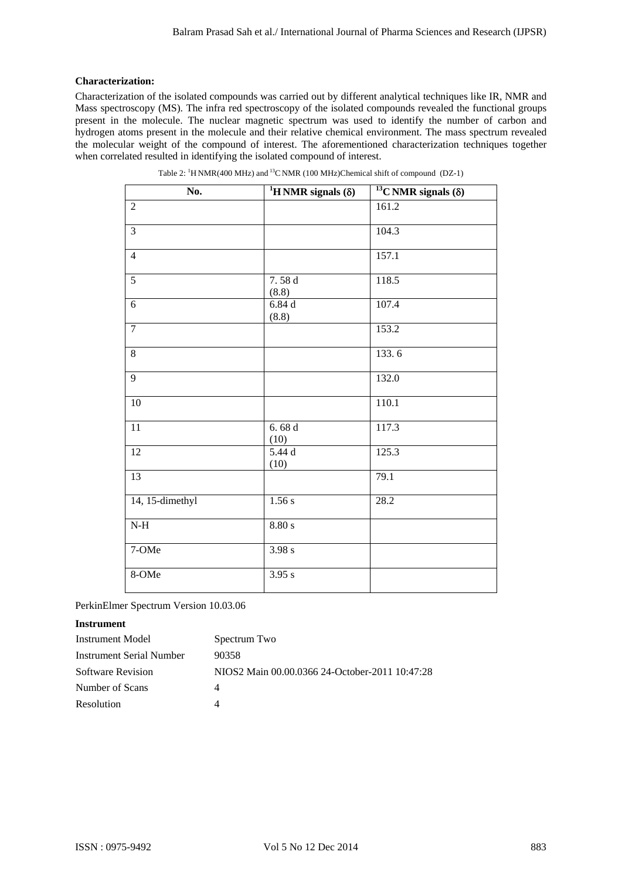# **Characterization:**

|                                                            | No.                   | Table 2: <sup>1</sup> H NMR(400 MHz) and <sup>13</sup> C NMR (100 MHz)Chemical shift of compound (DZ-1)<br><sup>1</sup> H NMR signals $(\delta)$ | <sup>13</sup> C NMR signals $(\delta)$ |
|------------------------------------------------------------|-----------------------|--------------------------------------------------------------------------------------------------------------------------------------------------|----------------------------------------|
| $\overline{2}$                                             |                       |                                                                                                                                                  | 161.2                                  |
| 3                                                          |                       |                                                                                                                                                  | 104.3                                  |
| $\overline{4}$                                             |                       |                                                                                                                                                  | 157.1                                  |
| 5                                                          |                       | 7.58 d                                                                                                                                           | 118.5                                  |
| 6                                                          |                       | (8.8)<br>6.84d                                                                                                                                   | 107.4                                  |
| $\overline{7}$                                             |                       | (8.8)                                                                                                                                            | 153.2                                  |
| 8                                                          |                       |                                                                                                                                                  | 133.6                                  |
| 9                                                          |                       |                                                                                                                                                  | 132.0                                  |
| 10                                                         |                       |                                                                                                                                                  | 110.1                                  |
| 11                                                         |                       | 6.68d                                                                                                                                            | 117.3                                  |
| 12                                                         |                       | (10)<br>5.44 d                                                                                                                                   | 125.3                                  |
| 13                                                         |                       | (10)                                                                                                                                             | 79.1                                   |
| 14, 15-dimethyl                                            |                       | 1.56s                                                                                                                                            | 28.2                                   |
| $N-H$                                                      |                       | 8.80 s                                                                                                                                           |                                        |
|                                                            |                       |                                                                                                                                                  |                                        |
| 7-OMe                                                      |                       | 3.98 s                                                                                                                                           |                                        |
| 8-OMe                                                      |                       | 3.95 s                                                                                                                                           |                                        |
| PerkinElmer Spectrum Version 10.03.06                      |                       |                                                                                                                                                  |                                        |
| <b>Instrument</b>                                          |                       |                                                                                                                                                  |                                        |
| <b>Instrument Model</b><br><b>Instrument Serial Number</b> | Spectrum Two<br>90358 |                                                                                                                                                  |                                        |
| <b>Software Revision</b>                                   |                       | NIOS2 Main 00.00.0366 24-October-2011 10:47:28                                                                                                   |                                        |
| Number of Scans                                            | 4                     |                                                                                                                                                  |                                        |
| Resolution                                                 | $\overline{4}$        |                                                                                                                                                  |                                        |

| Table 2: ${}^{1}$ H NMR(400 MHz) and ${}^{13}$ C NMR (100 MHz)Chemical shift of compound (DZ-1) |  |  |
|-------------------------------------------------------------------------------------------------|--|--|
|                                                                                                 |  |  |

# **Instrument**

| Instrument Model         | Spectrum Two                                   |
|--------------------------|------------------------------------------------|
| Instrument Serial Number | 90358                                          |
| Software Revision        | NIOS2 Main 00.00.0366 24-October-2011 10:47:28 |
| Number of Scans          |                                                |
| Resolution               |                                                |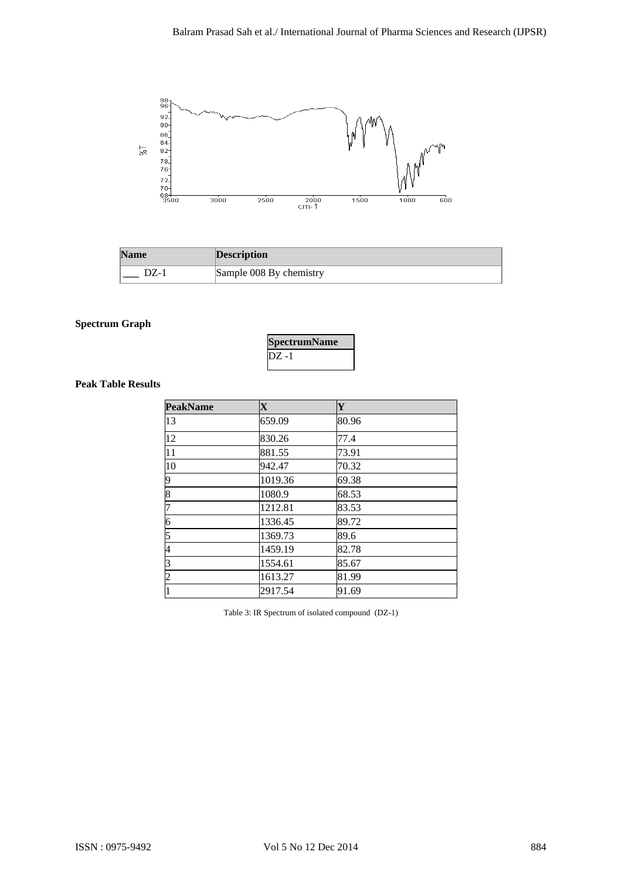

| <b>Name</b> | <b>Description</b>      |
|-------------|-------------------------|
| DZ-1        | Sample 008 By chemistry |

# **Spectrum Graph**

|        | <b>SpectrumName</b> |
|--------|---------------------|
| IDZ -1 |                     |

# **Peak Table Results**

|                           | $72$<br>$70-$<br>$68 +$<br>3500<br>3000 | 2500<br>$2000$<br>cm-1  | 600<br>1500<br>1000 |  |
|---------------------------|-----------------------------------------|-------------------------|---------------------|--|
|                           |                                         |                         |                     |  |
| <b>Name</b>               |                                         | <b>Description</b>      |                     |  |
| $DZ-1$                    |                                         | Sample 008 By chemistry |                     |  |
| <b>Peak Table Results</b> | <b>PeakName</b>                         | $\mathbf X$             | Y                   |  |
|                           | 13                                      | 659.09                  | 80.96               |  |
|                           | 12                                      | 830.26                  | 77.4                |  |
|                           | 11                                      | 881.55                  | 73.91               |  |
|                           | 10                                      | 942.47                  | 70.32               |  |
|                           | 9                                       | 1019.36                 | 69.38               |  |
|                           | $\overline{8}$                          | 1080.9                  | 68.53               |  |
|                           | 7                                       | 1212.81                 | 83.53               |  |
|                           | 6                                       | 1336.45                 | 89.72               |  |
|                           | 5                                       | 1369.73                 | 89.6                |  |
|                           | 4<br>3                                  | 1459.19<br>1554.61      | 82.78<br>85.67      |  |
|                           | $\overline{c}$                          | 1613.27                 | 81.99               |  |
|                           | $\mathbf{1}$                            | 2917.54                 | 91.69               |  |
|                           |                                         |                         |                     |  |
|                           |                                         |                         |                     |  |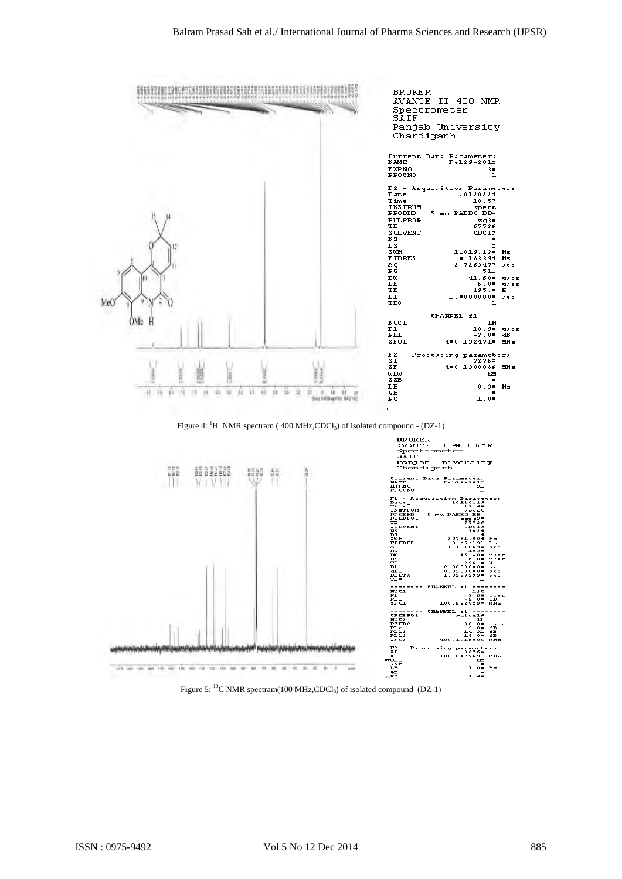

Figure 4: <sup>1</sup>H NMR spectram (400 MHz,CDCl<sub>3</sub>) of isolated compound - (DZ-1)



Figure 5: <sup>13</sup>C NMR spectram(100 MHz,CDCl<sub>3</sub>) of isolated compound (DZ-1)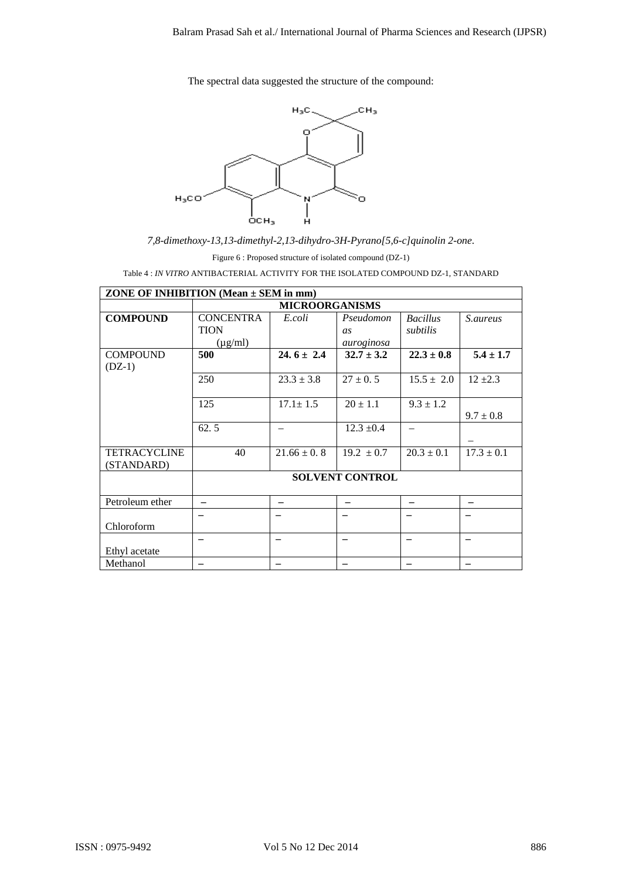

|                                   | The spectral data suggested the structure of the compound:                                    |                                                          |                               |                             |                          |
|-----------------------------------|-----------------------------------------------------------------------------------------------|----------------------------------------------------------|-------------------------------|-----------------------------|--------------------------|
|                                   |                                                                                               | $\mathsf{H}_3\mathsf{C}$                                 | CH <sub>3</sub>               |                             |                          |
|                                   |                                                                                               | ο                                                        |                               |                             |                          |
|                                   |                                                                                               |                                                          |                               |                             |                          |
|                                   |                                                                                               |                                                          |                               |                             |                          |
| $H_3CO$                           |                                                                                               | N                                                        | ח                             |                             |                          |
|                                   | осн <sub>з</sub><br>7,8-dimethoxy-13,13-dimethyl-2,13-dihydro-3H-Pyrano[5,6-c]quinolin 2-one. | н                                                        |                               |                             |                          |
|                                   |                                                                                               | Figure 6: Proposed structure of isolated compound (DZ-1) |                               |                             |                          |
|                                   | Table 4: IN VITRO ANTIBACTERIAL ACTIVITY FOR THE ISOLATED COMPOUND DZ-1, STANDARD             |                                                          |                               |                             |                          |
|                                   | ZONE OF INHIBITION (Mean $\pm$ SEM in mm)                                                     | <b>MICROORGANISMS</b>                                    |                               |                             |                          |
| <b>COMPOUND</b>                   | <b>CONCENTRA</b><br><b>TION</b><br>$(\mu g/ml)$                                               | E.coli                                                   | Pseudomon<br>as<br>auroginosa | <b>Bacillus</b><br>subtilis | S.aureus                 |
| <b>COMPOUND</b><br>$(DZ-1)$       | 500                                                                                           | $24.6 \pm 2.4$                                           | $32.7 \pm 3.2$                | $22.3 \pm 0.8$              | $5.4 \pm 1.7$            |
|                                   | 250                                                                                           | $23.3 \pm 3.8$                                           | $27 \pm 0.5$                  | $15.5 \pm 2.0$              | $12 \pm 2.3$             |
|                                   | 125                                                                                           | $17.1 \pm 1.5$                                           | $20 \pm 1.1$                  | $\overline{9.3} \pm 1.2$    |                          |
|                                   | 62.5                                                                                          | $\overline{\phantom{0}}$                                 | $12.3 \pm 0.4$                | $\overline{\phantom{0}}$    | $9.7 \pm 0.8$            |
| <b>TETRACYCLINE</b><br>(STANDARD) | 40                                                                                            | $21.66 \pm 0.8$                                          | $\frac{19.2 \pm 0.7}{2}$      | $20.3 \pm 0.1$              | $17.3 \pm 0.1$           |
|                                   |                                                                                               |                                                          | <b>SOLVENT CONTROL</b>        |                             |                          |
| Petroleum ether                   | $\overline{\phantom{0}}$                                                                      |                                                          |                               |                             |                          |
| Chloroform                        |                                                                                               |                                                          |                               |                             |                          |
| Ethyl acetate                     | $\equiv$                                                                                      | $\equiv$                                                 | $\qquad \qquad -$             | $\overline{\phantom{0}}$    | $\overline{\phantom{0}}$ |
| Methanol                          | $\qquad \qquad -$                                                                             | $\overline{\phantom{0}}$                                 | $\overline{\phantom{0}}$      | $\qquad \qquad -$           | $\overline{\phantom{0}}$ |
|                                   |                                                                                               |                                                          |                               |                             |                          |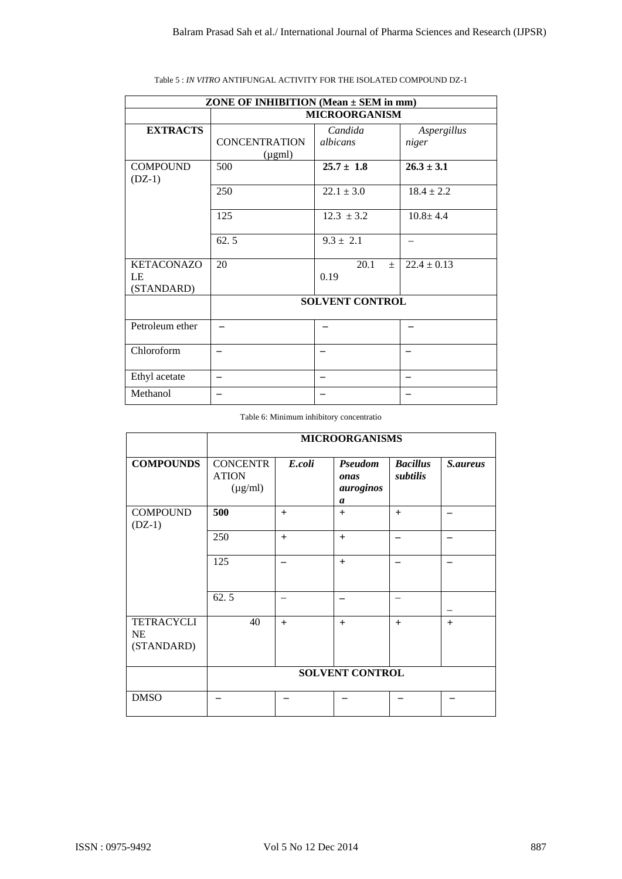|                                       | ZONE OF INHIBITION (Mean $\pm$ SEM in mm) |                          |                                          | <b>MICROORGANISM</b>   |                             |                          |  |
|---------------------------------------|-------------------------------------------|--------------------------|------------------------------------------|------------------------|-----------------------------|--------------------------|--|
| <b>EXTRACTS</b>                       | <b>CONCENTRATION</b><br>$(\mu gml)$       |                          |                                          | Candida<br>albicans    | niger                       | Aspergillus              |  |
| <b>COMPOUND</b>                       | 500                                       |                          |                                          | $25.7 \pm 1.8$         | $26.3 \pm 3.1$              |                          |  |
| $(DZ-1)$                              | 250                                       |                          |                                          | $22.1 \pm 3.0$         | $18.4 \pm 2.2$              |                          |  |
|                                       | 125                                       |                          |                                          | $12.3 \pm 3.2$         | $10.8 + 4.4$                |                          |  |
|                                       | 62.5                                      |                          |                                          | $9.3 \pm 2.1$          | $\overline{\phantom{0}}$    |                          |  |
| <b>KETACONAZO</b><br>LE               | 20                                        |                          | 20.1<br>$\pm$<br>0.19                    |                        |                             | $22.4 \pm 0.13$          |  |
| (STANDARD)                            |                                           |                          |                                          | <b>SOLVENT CONTROL</b> |                             |                          |  |
| Petroleum ether                       | $\equiv$                                  |                          | $\overline{\phantom{0}}$                 |                        |                             |                          |  |
|                                       |                                           |                          |                                          |                        |                             | -                        |  |
| Chloroform                            | $\qquad \qquad -$                         |                          |                                          |                        | $\qquad \qquad -$           |                          |  |
| Ethyl acetate                         | $\overline{\phantom{m}}$                  |                          | $\equiv$                                 |                        | $\qquad \qquad -$           |                          |  |
| Methanol                              | $\overline{\phantom{0}}$                  |                          | $\overline{\phantom{0}}$                 |                        | $\qquad \qquad -$           |                          |  |
| <b>COMPOUNDS</b>                      | <b>CONCENTR</b><br><b>ATION</b>           | E.coli                   | <b>MICROORGANISMS</b><br>Pseudom<br>onas |                        | <b>Bacillus</b><br>subtilis | S.aureus                 |  |
|                                       | $(\mu g/ml)$                              |                          |                                          | auroginos<br>a         |                             |                          |  |
| <b>COMPOUND</b><br>$(DZ-1)$           | 500                                       | $+$                      |                                          | $\boldsymbol{+}$       | $+$                         | $\overline{\phantom{m}}$ |  |
|                                       | 250                                       | $+$                      |                                          | $\boldsymbol{+}$       | $\equiv$                    | $\overline{\phantom{0}}$ |  |
|                                       | 125                                       | $\qquad \qquad -$        |                                          | $\boldsymbol{+}$       | $\qquad \qquad -$           | $\qquad \qquad -$        |  |
|                                       | 62.5                                      | $\overline{\phantom{0}}$ |                                          | $\qquad \qquad -$      | $\equiv$                    |                          |  |
| <b>TETRACYCLI</b><br>NE<br>(STANDARD) | 40                                        | $+$                      |                                          | $\ddot{}$              | $+$                         | $+$                      |  |
|                                       |                                           |                          |                                          | SOLVENT CONTROL        |                             |                          |  |
| <b>DMSO</b>                           | $\qquad \qquad -$                         | -                        |                                          | -                      | -                           |                          |  |
|                                       |                                           |                          |                                          |                        |                             |                          |  |

|  |  | Table 5 : IN VITRO ANTIFUNGAL ACTIVITY FOR THE ISOLATED COMPOUND DZ-1 |
|--|--|-----------------------------------------------------------------------|
|  |  |                                                                       |

Table 6: Minimum inhibitory concentratio

|                                              | <b>MICROORGANISMS</b>                           |        |                                          |                             |          |  |  |
|----------------------------------------------|-------------------------------------------------|--------|------------------------------------------|-----------------------------|----------|--|--|
| <b>COMPOUNDS</b>                             | <b>CONCENTR</b><br><b>ATION</b><br>$(\mu g/ml)$ | E.coli | <b>Pseudom</b><br>onas<br>auroginos<br>a | <b>Bacillus</b><br>subtilis | S.aureus |  |  |
| <b>COMPOUND</b><br>$(DZ-1)$                  | 500                                             | $+$    | $+$                                      | $+$                         |          |  |  |
|                                              | 250                                             | $+$    | $+$                                      |                             |          |  |  |
|                                              | 125                                             |        | $+$                                      |                             |          |  |  |
|                                              | 62.5                                            |        |                                          | -                           |          |  |  |
| <b>TETRACYCLI</b><br><b>NE</b><br>(STANDARD) | 40                                              | $+$    | $+$                                      | $+$                         | $+$      |  |  |
|                                              | <b>SOLVENT CONTROL</b>                          |        |                                          |                             |          |  |  |
| <b>DMSO</b>                                  |                                                 |        |                                          |                             |          |  |  |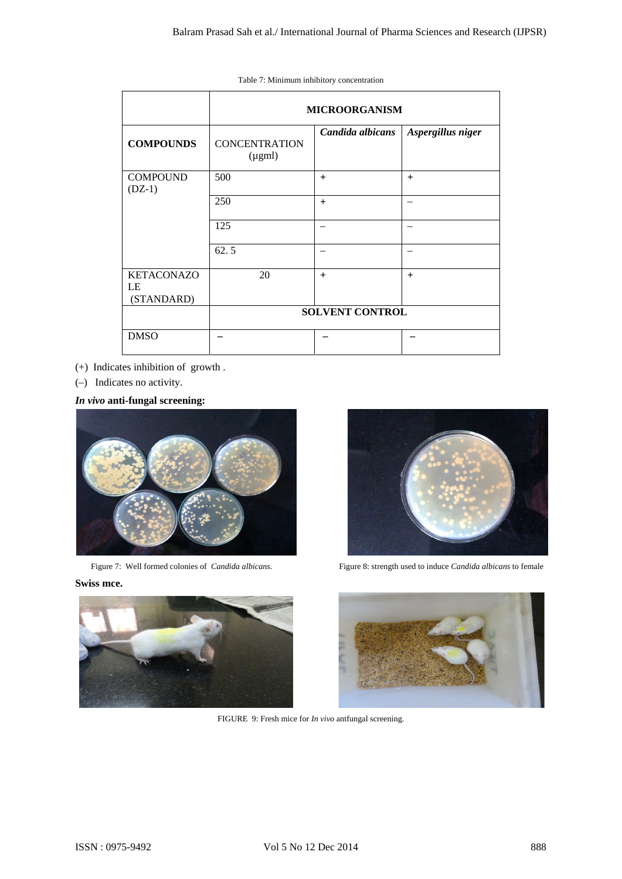|                                                                   |                                                              | Table 7: Minimum inhibitory concentration |                                                              |
|-------------------------------------------------------------------|--------------------------------------------------------------|-------------------------------------------|--------------------------------------------------------------|
|                                                                   |                                                              | <b>MICROORGANISM</b>                      |                                                              |
| <b>COMPOUNDS</b>                                                  | <b>CONCENTRATION</b><br>$(\mu gml)$                          | Candida albicans                          | Aspergillus niger                                            |
| <b>COMPOUND</b><br>$(DZ-1)$                                       | 500                                                          | $\ddot{}$                                 | $\boldsymbol{+}$                                             |
|                                                                   | 250                                                          | $\ddot{}$                                 | $\equiv$                                                     |
|                                                                   | 125                                                          | $\equiv$                                  | $\equiv$                                                     |
|                                                                   | 62.5                                                         | $\overline{\phantom{0}}$                  | $\overline{\phantom{0}}$                                     |
| <b>KETACONAZO</b><br>LE<br>(STANDARD)                             | 20                                                           | $+$                                       | $+$                                                          |
|                                                                   |                                                              | SOLVENT CONTROL                           |                                                              |
| <b>DMSO</b>                                                       |                                                              | $\overline{\phantom{0}}$                  |                                                              |
|                                                                   |                                                              |                                           |                                                              |
|                                                                   |                                                              |                                           | Figure 8: strength used to induce Candida albicans to female |
|                                                                   |                                                              |                                           |                                                              |
| Figure 7: Well formed colonies of Candida albicans.<br>Swiss mce. | FIGURE 9: Fresh mice for <i>In vivo</i> antfungal screening. |                                           |                                                              |

- (+) Indicates inhibition of growth .
- (–) Indicates no activity.





Figure 7: Well formed colonies of *Candida albicans*. Figure 8: strength used to induce *Candida albicans* to female



FIGURE 9: Fresh mice for *In vivo* antfungal screening.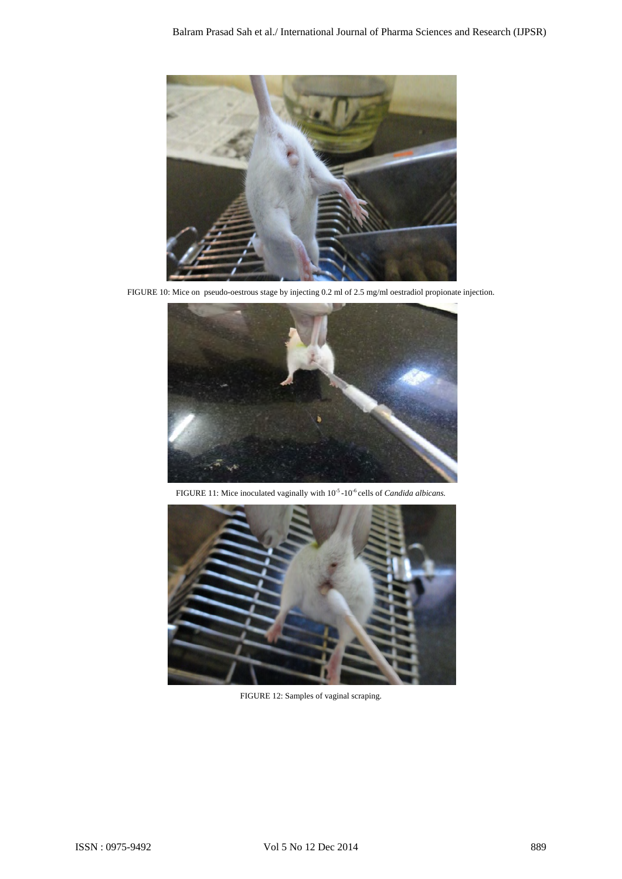

FIGURE 10: Mice on pseudo-oestrous stage by injecting 0.2 ml of 2.5 mg/ml oestradiol propionate injection.



FIGURE 11: Mice inoculated vaginally with 10<sup>-5</sup> -10<sup>-6</sup> cells of *Candida albicans*.



FIGURE 12: Samples of vaginal scraping.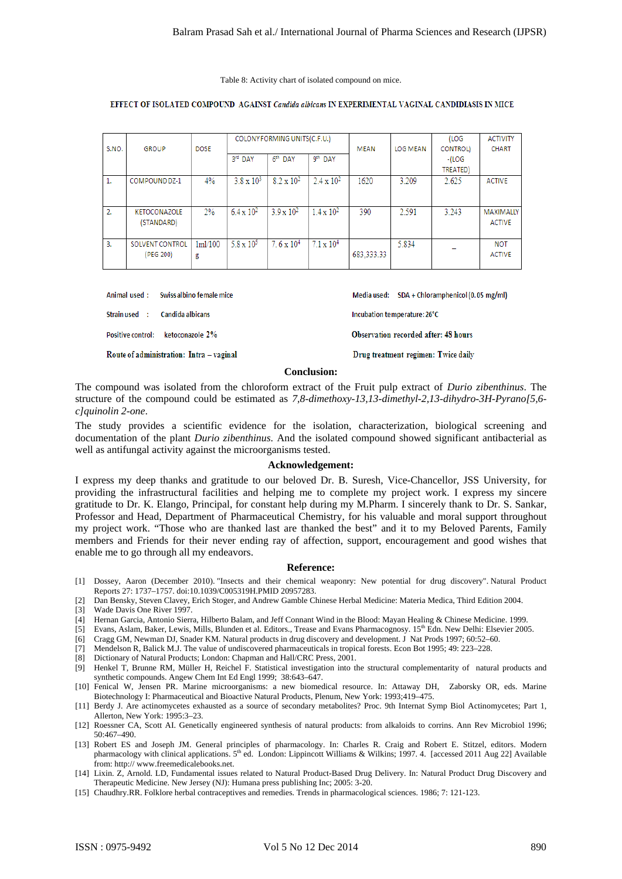|             |                                                                                                                                                                                                                                                                                                                                                                                                                                                                                                                                                                                                                                                                                                                                                                                                                                                                                                                                                                                                                                                                                                                                                                                                       |                          |                     |                              |                     | Table 8: Activity chart of isolated compound on mice. |                                      |                                                |                                                                                                        |
|-------------|-------------------------------------------------------------------------------------------------------------------------------------------------------------------------------------------------------------------------------------------------------------------------------------------------------------------------------------------------------------------------------------------------------------------------------------------------------------------------------------------------------------------------------------------------------------------------------------------------------------------------------------------------------------------------------------------------------------------------------------------------------------------------------------------------------------------------------------------------------------------------------------------------------------------------------------------------------------------------------------------------------------------------------------------------------------------------------------------------------------------------------------------------------------------------------------------------------|--------------------------|---------------------|------------------------------|---------------------|-------------------------------------------------------|--------------------------------------|------------------------------------------------|--------------------------------------------------------------------------------------------------------|
|             | EFFECT OF ISOLATED COMPOUND AGAINST Candida albicans IN EXPERIMENTAL VAGINAL CANDIDIASIS IN MICE                                                                                                                                                                                                                                                                                                                                                                                                                                                                                                                                                                                                                                                                                                                                                                                                                                                                                                                                                                                                                                                                                                      |                          |                     |                              |                     |                                                       |                                      |                                                |                                                                                                        |
|             |                                                                                                                                                                                                                                                                                                                                                                                                                                                                                                                                                                                                                                                                                                                                                                                                                                                                                                                                                                                                                                                                                                                                                                                                       |                          |                     | COLONY FORMING UNITS(C.F.U.) |                     |                                                       |                                      | (LOG                                           | <b>ACTIVITY</b>                                                                                        |
| S.NO.       | <b>GROUP</b>                                                                                                                                                                                                                                                                                                                                                                                                                                                                                                                                                                                                                                                                                                                                                                                                                                                                                                                                                                                                                                                                                                                                                                                          | <b>DOSE</b>              | 3rd DAY             | 6 <sup>th</sup> DAY          | 9 <sup>th</sup> DAY | MEAN                                                  | LOG MEAN                             | <b>CONTROL)</b><br>-(LOG<br>TREATED)           | CHART                                                                                                  |
| 1.          | COMPOUND DZ-1                                                                                                                                                                                                                                                                                                                                                                                                                                                                                                                                                                                                                                                                                                                                                                                                                                                                                                                                                                                                                                                                                                                                                                                         | 4%                       | $3.8 \times 10^{3}$ | $8.2 \times 10^{2}$          | $2.4 \times 10^{2}$ | 1620                                                  | 3.209                                | 2.625                                          | <b>ACTIVE</b>                                                                                          |
| 2.          | KETOCONAZOLE<br>(STANDARD)                                                                                                                                                                                                                                                                                                                                                                                                                                                                                                                                                                                                                                                                                                                                                                                                                                                                                                                                                                                                                                                                                                                                                                            | $2\%$                    | $6.4 \times 10^{2}$ | $3.9 \times 10^{2}$          | $1.4 \times 10^{2}$ | 390                                                   | 2.591                                | 3.243                                          | MAXIMALLY<br><b>ACTIVE</b>                                                                             |
| з.          | SOLVENT CONTROL<br>(PEG 200)                                                                                                                                                                                                                                                                                                                                                                                                                                                                                                                                                                                                                                                                                                                                                                                                                                                                                                                                                                                                                                                                                                                                                                          | 1m1/100<br>g             | $5.8 \times 10^5$   | $7.6 \times 10^4$            | $7.1 \times 10^4$   | 683,333.33                                            | 5.834                                |                                                | NOT<br><b>ACTIVE</b>                                                                                   |
|             | Animal used:                                                                                                                                                                                                                                                                                                                                                                                                                                                                                                                                                                                                                                                                                                                                                                                                                                                                                                                                                                                                                                                                                                                                                                                          | Swiss albino female mice |                     |                              |                     |                                                       |                                      | Media used: SDA + Chloramphenicol (0.05 mg/ml) |                                                                                                        |
|             | Strain used :<br>Candida albicans                                                                                                                                                                                                                                                                                                                                                                                                                                                                                                                                                                                                                                                                                                                                                                                                                                                                                                                                                                                                                                                                                                                                                                     |                          |                     |                              |                     |                                                       | Incubation temperature: 26°C         |                                                |                                                                                                        |
|             | <b>Positive control:</b>                                                                                                                                                                                                                                                                                                                                                                                                                                                                                                                                                                                                                                                                                                                                                                                                                                                                                                                                                                                                                                                                                                                                                                              | ketoconazole 2%          |                     |                              |                     |                                                       | Observation recorded after: 48 hours |                                                |                                                                                                        |
|             | Route of administration: Intra - vaginal                                                                                                                                                                                                                                                                                                                                                                                                                                                                                                                                                                                                                                                                                                                                                                                                                                                                                                                                                                                                                                                                                                                                                              |                          |                     |                              |                     |                                                       |                                      | Drug treatment regimen: Twice daily            |                                                                                                        |
|             |                                                                                                                                                                                                                                                                                                                                                                                                                                                                                                                                                                                                                                                                                                                                                                                                                                                                                                                                                                                                                                                                                                                                                                                                       |                          |                     |                              | <b>Conclusion:</b>  |                                                       |                                      |                                                |                                                                                                        |
|             | documentation of the plant Durio zibenthinus. And the isolated compound showed significant antibacterial as<br>well as antifungal activity against the microorganisms tested.                                                                                                                                                                                                                                                                                                                                                                                                                                                                                                                                                                                                                                                                                                                                                                                                                                                                                                                                                                                                                         |                          |                     |                              | Acknowledgement:    |                                                       |                                      |                                                | The study provides a scientific evidence for the isolation, characterization, biological screening and |
|             | I express my deep thanks and gratitude to our beloved Dr. B. Suresh, Vice-Chancellor, JSS University, for<br>providing the infrastructural facilities and helping me to complete my project work. I express my sincere<br>gratitude to Dr. K. Elango, Principal, for constant help during my M.Pharm. I sincerely thank to Dr. S. Sankar,<br>Professor and Head, Department of Pharmaceutical Chemistry, for his valuable and moral support throughout<br>my project work. "Those who are thanked last are thanked the best" and it to my Beloved Parents, Family<br>members and Friends for their never ending ray of affection, support, encouragement and good wishes that                                                                                                                                                                                                                                                                                                                                                                                                                                                                                                                         |                          |                     |                              |                     |                                                       |                                      |                                                |                                                                                                        |
|             | enable me to go through all my endeavors.                                                                                                                                                                                                                                                                                                                                                                                                                                                                                                                                                                                                                                                                                                                                                                                                                                                                                                                                                                                                                                                                                                                                                             |                          |                     |                              |                     |                                                       |                                      |                                                |                                                                                                        |
|             | Dossey, Aaron (December 2010). "Insects and their chemical weaponry: New potential for drug discovery". Natural Product<br>Reports 27: 1737-1757. doi:10.1039/C005319H.PMID 20957283.<br>Dan Bensky, Steven Clavey, Erich Stoger, and Andrew Gamble Chinese Herbal Medicine: Materia Medica, Third Edition 2004.                                                                                                                                                                                                                                                                                                                                                                                                                                                                                                                                                                                                                                                                                                                                                                                                                                                                                      |                          |                     |                              | Reference:          |                                                       |                                      |                                                |                                                                                                        |
|             | Wade Davis One River 1997.<br>Hernan Garcia, Antonio Sierra, Hilberto Balam, and Jeff Connant Wind in the Blood: Mayan Healing & Chinese Medicine. 1999.<br>Evans, Aslam, Baker, Lewis, Mills, Blunden et al. Editors., Trease and Evans Pharmacognosy. 15 <sup>th</sup> Edn. New Delhi: Elsevier 2005.<br>Cragg GM, Newman DJ, Snader KM. Natural products in drug discovery and development. J Nat Prods 1997; 60:52–60.<br>Mendelson R, Balick M.J. The value of undiscovered pharmaceuticals in tropical forests. Econ Bot 1995; 49: 223–228.<br>Dictionary of Natural Products; London: Chapman and Hall/CRC Press, 2001.<br>Henkel T, Brunne RM, Müller H, Reichel F. Statistical investigation into the structural complementarity of natural products and<br>synthetic compounds. Angew Chem Int Ed Engl 1999; 38:643–647.<br>[10] Fenical W, Jensen PR. Marine microorganisms: a new biomedical resource. In: Attaway DH, Zaborsky OR, eds. Marine<br>Biotechnology I: Pharmaceutical and Bioactive Natural Products, Plenum, New York: 1993;419–475.<br>[11] Berdy J. Are actinomycetes exhausted as a source of secondary metabolites? Proc. 9th Internat Symp Biol Actinomycetes; Part 1, |                          |                     |                              |                     |                                                       |                                      |                                                |                                                                                                        |
|             | Allerton, New York: 1995:3-23.<br>[12] Roessner CA, Scott AI. Genetically engineered synthesis of natural products: from alkaloids to corrins. Ann Rev Microbiol 1996;                                                                                                                                                                                                                                                                                                                                                                                                                                                                                                                                                                                                                                                                                                                                                                                                                                                                                                                                                                                                                                |                          |                     |                              |                     |                                                       |                                      |                                                |                                                                                                        |
| 50:467–490. | [13] Robert ES and Joseph JM. General principles of pharmacology. In: Charles R. Craig and Robert E. Stitzel, editors. Modern<br>pharmacology with clinical applications. 5 <sup>th</sup> ed. London: Lippincott Williams & Wilkins; 1997. 4. [accessed 2011 Aug 22] Available<br>from: http:// www.freemedicalebooks.net.                                                                                                                                                                                                                                                                                                                                                                                                                                                                                                                                                                                                                                                                                                                                                                                                                                                                            |                          |                     |                              |                     |                                                       |                                      |                                                |                                                                                                        |

| Animal used: Swissalbino female mice     | Media used: $SDA + Chloramphenicol (0.05 mg/ml)$ |
|------------------------------------------|--------------------------------------------------|
| Strain used :<br>Candida albicans        | Incubation temperature: 26°C                     |
| Positive control: ketoconazole 2%        | Observation recorded after: 48 hours             |
| Route of administration: Intra – vaginal | Drug treatment regimen: Twice daily              |

# **Conclusion:**

#### **Acknowledgement:**

#### **Reference:**

- [1] Dossey, Aaron (December 2010). "Insects and their chemical weaponry: New potential for drug discovery". Natural Product Reports 27: 1737–1757. doi:10.1039/C005319H.PMID 20957283.
- [2] Dan Bensky, Steven Clavey, Erich Stoger, and Andrew Gamble Chinese Herbal Medicine: Materia Medica, Third Edition 2004.
- [3] Wade Davis One River 1997.
- [4] Hernan Garcia, Antonio Sierra, Hilberto Balam, and Jeff Connant Wind in the Blood: Mayan Healing & Chinese Medicine. 1999.
- [5] Evans, Aslam, Baker, Lewis, Mills, Blunden et al. Editors., Trease and Evans Pharmacognosy. 15<sup>th</sup> Edn. New Delhi: Elsevier 2005.
- [6] Cragg GM, Newman DJ, Snader KM. Natural products in drug discovery and development. J Nat Prods 1997; 60:52–60.
- [7] Mendelson R, Balick M.J. The value of undiscovered pharmaceuticals in tropical forests. Econ Bot 1995; 49: 223–228.
- [8] Dictionary of Natural Products; London: Chapman and Hall/CRC Press, 2001.
- [9] Henkel T, Brunne RM, Müller H, Reichel F. Statistical investigation into the structural complementarity of natural products and synthetic compounds. Angew Chem Int Ed Engl 1999; 38:643–647.
- [10] Fenical W, Jensen PR. Marine microorganisms: a new biomedical resource. In: Attaway DH, Zaborsky OR, eds. Marine Biotechnology I: Pharmaceutical and Bioactive Natural Products, Plenum, New York: 1993;419–475.
- [11] Berdy J. Are actinomycetes exhausted as a source of secondary metabolites? Proc. 9th Internat Symp Biol Actinomycetes; Part 1, Allerton, New York: 1995:3–23.
- [12] Roessner CA, Scott AI. Genetically engineered synthesis of natural products: from alkaloids to corrins. Ann Rev Microbiol 1996; 50:467–490.
- [13] Robert ES and Joseph JM. General principles of pharmacology. In: Charles R. Craig and Robert E. Stitzel, editors. Modern pharmacology with clinical applications.  $5<sup>th</sup>$  ed. London: Lippincott Williams & Wilkins; 1997. 4. [accessed 2011 Aug 22] Available from: http:// www.freemedicalebooks.net.
- [14] Lixin. Z, Arnold. LD, Fundamental issues related to Natural Product-Based Drug Delivery. In: Natural Product Drug Discovery and Therapeutic Medicine. New Jersey (NJ): Humana press publishing Inc; 2005: 3-20.
- [15] Chaudhry.RR. Folklore herbal contraceptives and remedies. Trends in pharmacological sciences. 1986; 7: 121-123.